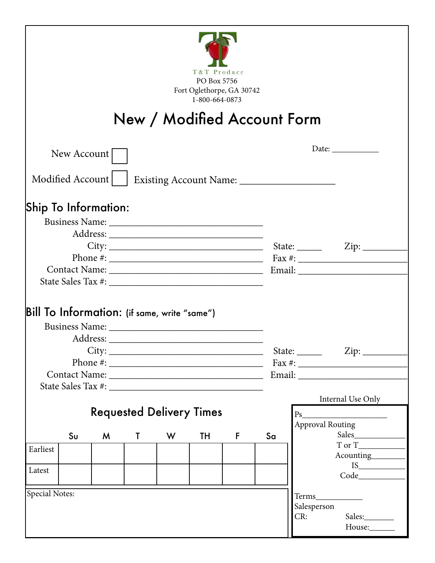|                                 |                      |                     |   |                                              | T&T Produce<br>PO Box 5756<br>Fort Oglethorpe, GA 30742<br>1-800-664-0873 |                                              | New / Modified Account Form |                                                        |  |  |
|---------------------------------|----------------------|---------------------|---|----------------------------------------------|---------------------------------------------------------------------------|----------------------------------------------|-----------------------------|--------------------------------------------------------|--|--|
|                                 | New Account          |                     |   |                                              |                                                                           |                                              |                             | Date: $\qquad \qquad$                                  |  |  |
|                                 |                      |                     |   |                                              |                                                                           |                                              |                             |                                                        |  |  |
|                                 | Modified Account     |                     |   |                                              |                                                                           |                                              |                             |                                                        |  |  |
|                                 | Ship To Information: |                     |   |                                              |                                                                           |                                              |                             |                                                        |  |  |
|                                 |                      |                     |   | Bill To Information: (if same, write "same") |                                                                           |                                              |                             |                                                        |  |  |
|                                 |                      |                     |   |                                              |                                                                           |                                              |                             |                                                        |  |  |
|                                 |                      | Address: __________ |   |                                              |                                                                           |                                              |                             |                                                        |  |  |
|                                 |                      |                     |   | City:                                        |                                                                           |                                              |                             | State: $\angle$ Zip: $\angle$                          |  |  |
|                                 |                      |                     |   |                                              |                                                                           |                                              |                             | Email: North March 1988                                |  |  |
|                                 |                      |                     |   |                                              |                                                                           |                                              |                             |                                                        |  |  |
| <b>Requested Delivery Times</b> |                      |                     |   |                                              |                                                                           | Internal Use Only<br><b>Approval Routing</b> |                             |                                                        |  |  |
|                                 | S <sub>U</sub>       | M                   | T | W                                            | TH                                                                        | F                                            | Sa                          |                                                        |  |  |
| Earliest                        |                      |                     |   |                                              |                                                                           |                                              |                             | Acounting________                                      |  |  |
|                                 |                      |                     |   |                                              |                                                                           |                                              |                             |                                                        |  |  |
| Latest                          |                      |                     |   |                                              |                                                                           |                                              |                             | Code                                                   |  |  |
| <b>Special Notes:</b>           |                      |                     |   |                                              |                                                                           |                                              |                             | Salesperson<br>CR:<br>Sales:__________<br>House:______ |  |  |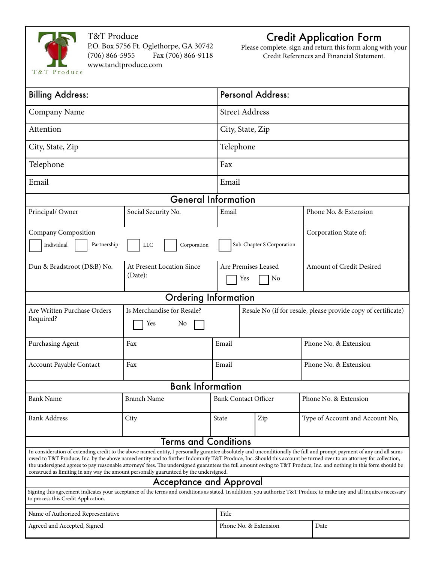

#### T&T Produce

P.O. Box 5756 Ft. Oglethorpe, GA 30742 Fax (706) 866-9118 www.tandtproduce.com

#### Credit Application Form

Please complete, sign and return this form along with your Credit References and Financial Statement.

| <b>Billing Address:</b>                                                                                                                                                                                                                                                                                                                                                                                                                                                                                                                                                                                 |                                      |                             | <b>Personal Address:</b>  |                                                               |  |  |
|---------------------------------------------------------------------------------------------------------------------------------------------------------------------------------------------------------------------------------------------------------------------------------------------------------------------------------------------------------------------------------------------------------------------------------------------------------------------------------------------------------------------------------------------------------------------------------------------------------|--------------------------------------|-----------------------------|---------------------------|---------------------------------------------------------------|--|--|
| Company Name                                                                                                                                                                                                                                                                                                                                                                                                                                                                                                                                                                                            |                                      |                             | <b>Street Address</b>     |                                                               |  |  |
| Attention                                                                                                                                                                                                                                                                                                                                                                                                                                                                                                                                                                                               |                                      | City, State, Zip            |                           |                                                               |  |  |
| City, State, Zip                                                                                                                                                                                                                                                                                                                                                                                                                                                                                                                                                                                        |                                      | Telephone                   |                           |                                                               |  |  |
| Telephone                                                                                                                                                                                                                                                                                                                                                                                                                                                                                                                                                                                               |                                      | Fax                         |                           |                                                               |  |  |
| Email                                                                                                                                                                                                                                                                                                                                                                                                                                                                                                                                                                                                   |                                      | Email                       |                           |                                                               |  |  |
|                                                                                                                                                                                                                                                                                                                                                                                                                                                                                                                                                                                                         | <b>General Information</b>           |                             |                           |                                                               |  |  |
| Principal/Owner                                                                                                                                                                                                                                                                                                                                                                                                                                                                                                                                                                                         | Social Security No.                  | Email                       |                           | Phone No. & Extension                                         |  |  |
| Company Composition                                                                                                                                                                                                                                                                                                                                                                                                                                                                                                                                                                                     |                                      |                             |                           | Corporation State of:                                         |  |  |
| Partnership<br>Individual                                                                                                                                                                                                                                                                                                                                                                                                                                                                                                                                                                               | <b>LLC</b><br>Corporation            |                             |                           |                                                               |  |  |
| Dun & Bradstroot (D&B) No.                                                                                                                                                                                                                                                                                                                                                                                                                                                                                                                                                                              | At Present Location Since<br>(Date): |                             | Are Premises Leased<br>No | Amount of Credit Desired                                      |  |  |
|                                                                                                                                                                                                                                                                                                                                                                                                                                                                                                                                                                                                         | <b>Ordering Information</b>          |                             |                           |                                                               |  |  |
| Is Merchandise for Resale?<br>Are Written Purchase Orders<br>Required?<br>Yes<br>No                                                                                                                                                                                                                                                                                                                                                                                                                                                                                                                     |                                      |                             |                           | Resale No (if for resale, please provide copy of certificate) |  |  |
| Purchasing Agent                                                                                                                                                                                                                                                                                                                                                                                                                                                                                                                                                                                        | Fax                                  | Email                       |                           | Phone No. & Extension                                         |  |  |
| Account Payable Contact                                                                                                                                                                                                                                                                                                                                                                                                                                                                                                                                                                                 | Fax                                  | Email                       |                           | Phone No. & Extension                                         |  |  |
|                                                                                                                                                                                                                                                                                                                                                                                                                                                                                                                                                                                                         | <b>Bank Information</b>              |                             |                           |                                                               |  |  |
|                                                                                                                                                                                                                                                                                                                                                                                                                                                                                                                                                                                                         |                                      |                             |                           |                                                               |  |  |
| <b>Bank Name</b>                                                                                                                                                                                                                                                                                                                                                                                                                                                                                                                                                                                        | <b>Branch Name</b>                   | <b>Bank Contact Officer</b> |                           | Phone No. & Extension                                         |  |  |
| <b>Bank Address</b>                                                                                                                                                                                                                                                                                                                                                                                                                                                                                                                                                                                     | City                                 | State                       | Zip                       | Type of Account and Account No,                               |  |  |
| <b>Terms and Conditions</b>                                                                                                                                                                                                                                                                                                                                                                                                                                                                                                                                                                             |                                      |                             |                           |                                                               |  |  |
| In consideration of extending credit to the above named entity, I personally gurantee absolutely and unconditionally the full and prompt payment of any and all sums<br>owed to T&T Produce, Inc. by the above named entity and to further Indomnify T&T Produce, Inc. Should this account be turned over to an attorney for collection,<br>the undersigned agrees to pay reasonable attorneys' fees. The undersigned guarantees the full amount owing to T&T Produce, Inc. and nothing in this form should be<br>construed as limiting in any way the amount personally guarunteed by the undersigned. |                                      |                             |                           |                                                               |  |  |
| <b>Acceptance and Approval</b>                                                                                                                                                                                                                                                                                                                                                                                                                                                                                                                                                                          |                                      |                             |                           |                                                               |  |  |
| Signing this agreement indicates your acceptance of the terms and conditions as stated. In addition, you authorize T&T Produce to make any and all inquires necessary<br>to process this Credit Application.                                                                                                                                                                                                                                                                                                                                                                                            |                                      |                             |                           |                                                               |  |  |
| Name of Authorized Representative                                                                                                                                                                                                                                                                                                                                                                                                                                                                                                                                                                       |                                      | Title                       |                           |                                                               |  |  |
| Agreed and Accepted, Signed                                                                                                                                                                                                                                                                                                                                                                                                                                                                                                                                                                             | Phone No. & Extension                |                             | Date                      |                                                               |  |  |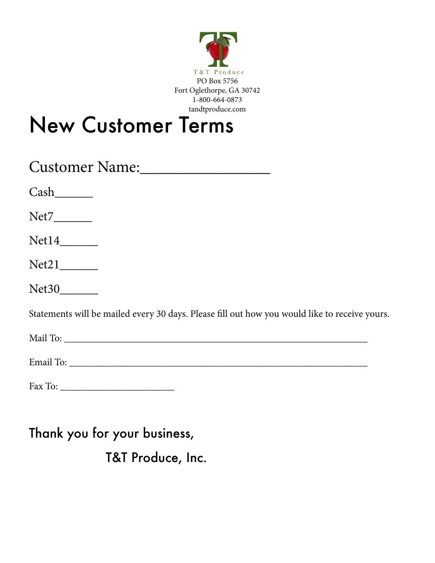

# New Customer Terms

| Customer Name:                                                                                |
|-----------------------------------------------------------------------------------------------|
|                                                                                               |
| Net7________                                                                                  |
| $Net14$ <sub>___________</sub>                                                                |
| $Net21$ <sub>__________</sub>                                                                 |
| Net30                                                                                         |
| Statements will be mailed every 30 days. Please fill out how you would like to receive yours. |
|                                                                                               |
|                                                                                               |

| $\Gamma_{\alpha\sigma\sigma}$<br>аχ<br>Гö<br>$\sim$ $\sim$ |  |
|------------------------------------------------------------|--|
|------------------------------------------------------------|--|

### Thank you for your business,

T&T Produce, Inc.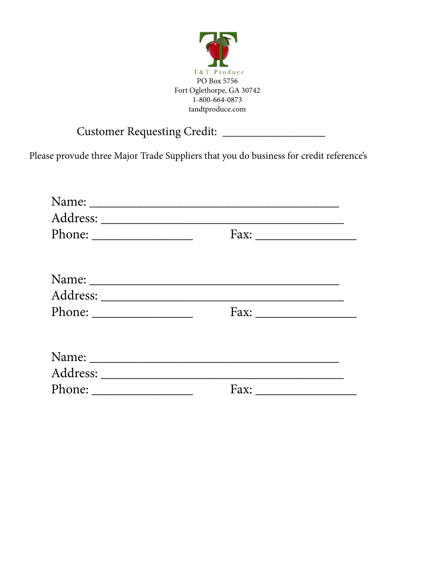

#### Customer Requesting Credit: \_\_\_\_\_\_\_\_\_\_\_\_\_\_\_\_\_

Please provude three Major Trade Suppliers that you do business for credit reference's

| Name:                                                                                                                                                                                                                                                                                                                                                                                                        |                      |  |
|--------------------------------------------------------------------------------------------------------------------------------------------------------------------------------------------------------------------------------------------------------------------------------------------------------------------------------------------------------------------------------------------------------------|----------------------|--|
|                                                                                                                                                                                                                                                                                                                                                                                                              |                      |  |
|                                                                                                                                                                                                                                                                                                                                                                                                              | Fax: $\qquad \qquad$ |  |
|                                                                                                                                                                                                                                                                                                                                                                                                              |                      |  |
|                                                                                                                                                                                                                                                                                                                                                                                                              |                      |  |
| Phone: $\_\_$                                                                                                                                                                                                                                                                                                                                                                                                |                      |  |
|                                                                                                                                                                                                                                                                                                                                                                                                              |                      |  |
|                                                                                                                                                                                                                                                                                                                                                                                                              |                      |  |
| Phone: $\frac{1}{\sqrt{1-\frac{1}{2}}\sqrt{1-\frac{1}{2}}\sqrt{1-\frac{1}{2}}\sqrt{1-\frac{1}{2}}\sqrt{1-\frac{1}{2}}\sqrt{1-\frac{1}{2}}\sqrt{1-\frac{1}{2}}\sqrt{1-\frac{1}{2}}\sqrt{1-\frac{1}{2}}\sqrt{1-\frac{1}{2}}\sqrt{1-\frac{1}{2}}\sqrt{1-\frac{1}{2}}\sqrt{1-\frac{1}{2}}\sqrt{1-\frac{1}{2}}\sqrt{1-\frac{1}{2}}\sqrt{1-\frac{1}{2}}\sqrt{1-\frac{1}{2}}\sqrt{1-\frac{1}{2}}\sqrt{1-\frac{1}{2$ |                      |  |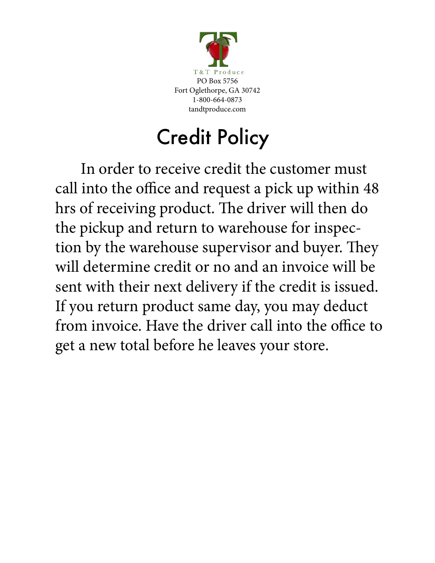

# Credit Policy

In order to receive credit the customer must call into the office and request a pick up within 48 hrs of receiving product. The driver will then do the pickup and return to warehouse for inspection by the warehouse supervisor and buyer. They will determine credit or no and an invoice will be sent with their next delivery if the credit is issued. If you return product same day, you may deduct from invoice. Have the driver call into the office to get a new total before he leaves your store.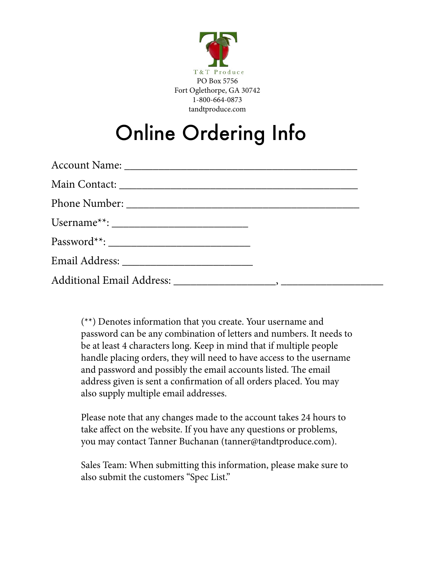

# Online Ordering Info

(\*\*) Denotes information that you create. Your username and password can be any combination of letters and numbers. It needs to be at least 4 characters long. Keep in mind that if multiple people handle placing orders, they will need to have access to the username and password and possibly the email accounts listed. The email address given is sent a confirmation of all orders placed. You may also supply multiple email addresses.

Please note that any changes made to the account takes 24 hours to take affect on the website. If you have any questions or problems, you may contact Tanner Buchanan (tanner@tandtproduce.com).

Sales Team: When submitting this information, please make sure to also submit the customers "Spec List."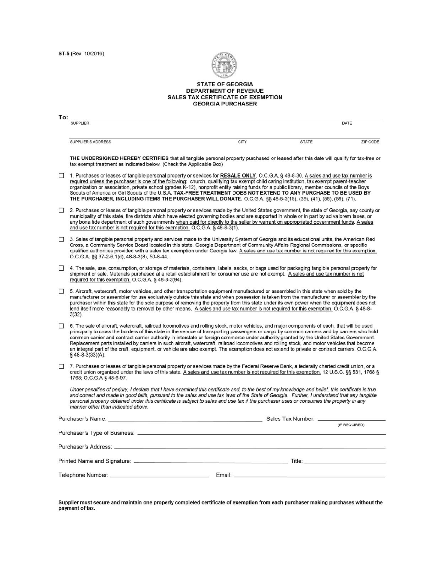

# STATE OF GEORGIA<br>DEPARTMENT OF REVENUE<br>SALES TAX CERTIFICATE OF EXEMPTION<br>GEORGIA PURCHASER

| <b>SUPPLIER</b><br>DATE<br>CITY<br>SUPPLIER'S ADDRESS<br><b>STATE</b><br>THE UNDERSIGNED HEREBY CERTIFIES that all tangible personal property purchased or leased after this date will qualify for tax-free or<br>tax exempt treatment as indicated below. (Check the Applicable Box)<br>□<br>1. Purchases or leases of tangible personal property or services for RESALE ONLY. O.C.G.A. § 48-8-30. A sales and use tax number is<br>required unless the purchaser is one of the following: church, qualifying tax exempt child caring institution, tax exempt parent-teacher<br>organization or association, private school (grades K-12), nonprofit entity raising funds for a public library, member councils of the Boys<br>Scouts of America or Girl Scouts of the U.S.A. TAX-FREE TREATMENT DOES NOT EXTEND TO ANY PURCHASE TO BE USED BY<br>THE PURCHASER, INCLUDING ITEMS THE PURCHASER WILL DONATE. O.C.G.A. §§ 48-8-3(15), (39), (41), (56), (59), (71).<br>□<br>municipality of this state, fire districts which have elected governing bodies and are supported in whole or in part by ad valorem taxes, or<br>any bona fide department of such governments when paid for directly to the seller by warrant on appropriated government funds. A sales<br>and use tax number is not required for this exemption. O.C.G.A. §48-8-3(1).<br>3. Sales of tangible personal property and services made to the University System of Georgia and its educational units, the American Red<br>$\Box$<br>Cross, a Community Service Board located in this state, Georgia Department of Community Affairs Regional Commissions, or specific<br>O.C.G.A. §§ 37-2-6.1(d), 48-8-3(8), 50-8-44.<br>0<br>shipment or sale. Materials purchased at a retail establishment for consumer use are not exempt. A sales and use tax number is not<br>required for this exemption. O.C.G.A. § 48-8-3(94).<br>0<br>5. Aircraft, watercraft, motor vehicles, and other transportation equipment manufactured or assembled in this state when sold by the<br>manufacturer or assembler for use exclusively outside this state and when possession is taken from the manufacturer or assembler by the<br>purchaser within this state for the sole purpose of removing the property from this state under its own power when the equipment does not<br>lend itself more reasonably to removal by other means. A sales and use tax number is not required for this exemption. O.C.G.A. § 48-8-<br>$3(32)$ .<br>□<br>6. The sale of aircraft, watercraft, railroad locomotives and rolling stock, motor vehicles, and major components of each, that will be used<br>common carrier and contract carrier authority in interstate or foreign commerce under authority granted by the United States Government.<br>Replacement parts installed by carriers in such aircraft, watercraft, railroad locomotives and rolling stock, and motor vehicles that become<br>$§$ 48-8-3(33)(A).<br>□<br>7. Purchases or leases of tangible personal property or services made by the Federal Reserve Bank, a federally charted credit union, or a<br>credit union organized under the laws of this state. A sales and use tax number is not required for this exemption, 12 U.S.C. §§ 531, 1768 §<br>1768; O.C.G.A § 48-6-97.<br>Under penalties of perjury, I declare that I have examined this certificate and, to the best of my knowledge and belief, this certificate is true<br>and correct and made in good faith, pursuant to the sales and use tax laws of the State of Georgia. Further, I understand that any tangible<br>personal property obtained under this certificate is subject to sales and use tax if the purchaser uses or consumes the property in any<br>manner other than indicated above.<br>Purchaser's Name:<br>Sales Tax Number:<br>(IF REQUIRED) | To: |                                                                                                                                                                                                                                                                                                |  |  |          |  |  |
|------------------------------------------------------------------------------------------------------------------------------------------------------------------------------------------------------------------------------------------------------------------------------------------------------------------------------------------------------------------------------------------------------------------------------------------------------------------------------------------------------------------------------------------------------------------------------------------------------------------------------------------------------------------------------------------------------------------------------------------------------------------------------------------------------------------------------------------------------------------------------------------------------------------------------------------------------------------------------------------------------------------------------------------------------------------------------------------------------------------------------------------------------------------------------------------------------------------------------------------------------------------------------------------------------------------------------------------------------------------------------------------------------------------------------------------------------------------------------------------------------------------------------------------------------------------------------------------------------------------------------------------------------------------------------------------------------------------------------------------------------------------------------------------------------------------------------------------------------------------------------------------------------------------------------------------------------------------------------------------------------------------------------------------------------------------------------------------------------------------------------------------------------------------------------------------------------------------------------------------------------------------------------------------------------------------------------------------------------------------------------------------------------------------------------------------------------------------------------------------------------------------------------------------------------------------------------------------------------------------------------------------------------------------------------------------------------------------------------------------------------------------------------------------------------------------------------------------------------------------------------------------------------------------------------------------------------------------------------------------------------------------------------------------------------------------------------------------------------------------------------------------------------------------------------------------------------------------------------------------------------------------------------------------------------------------------------------------------------------------------------------------------------------------------------------------------------------------------------------------------------------------------------------------------------------------------------------------------------------------------------------------------------------------------------------------------------------------------------------------------------------------------------------------------------------------------------------------------|-----|------------------------------------------------------------------------------------------------------------------------------------------------------------------------------------------------------------------------------------------------------------------------------------------------|--|--|----------|--|--|
|                                                                                                                                                                                                                                                                                                                                                                                                                                                                                                                                                                                                                                                                                                                                                                                                                                                                                                                                                                                                                                                                                                                                                                                                                                                                                                                                                                                                                                                                                                                                                                                                                                                                                                                                                                                                                                                                                                                                                                                                                                                                                                                                                                                                                                                                                                                                                                                                                                                                                                                                                                                                                                                                                                                                                                                                                                                                                                                                                                                                                                                                                                                                                                                                                                                                                                                                                                                                                                                                                                                                                                                                                                                                                                                                                                                                                                                |     |                                                                                                                                                                                                                                                                                                |  |  |          |  |  |
|                                                                                                                                                                                                                                                                                                                                                                                                                                                                                                                                                                                                                                                                                                                                                                                                                                                                                                                                                                                                                                                                                                                                                                                                                                                                                                                                                                                                                                                                                                                                                                                                                                                                                                                                                                                                                                                                                                                                                                                                                                                                                                                                                                                                                                                                                                                                                                                                                                                                                                                                                                                                                                                                                                                                                                                                                                                                                                                                                                                                                                                                                                                                                                                                                                                                                                                                                                                                                                                                                                                                                                                                                                                                                                                                                                                                                                                |     |                                                                                                                                                                                                                                                                                                |  |  | ZIP CODE |  |  |
|                                                                                                                                                                                                                                                                                                                                                                                                                                                                                                                                                                                                                                                                                                                                                                                                                                                                                                                                                                                                                                                                                                                                                                                                                                                                                                                                                                                                                                                                                                                                                                                                                                                                                                                                                                                                                                                                                                                                                                                                                                                                                                                                                                                                                                                                                                                                                                                                                                                                                                                                                                                                                                                                                                                                                                                                                                                                                                                                                                                                                                                                                                                                                                                                                                                                                                                                                                                                                                                                                                                                                                                                                                                                                                                                                                                                                                                |     |                                                                                                                                                                                                                                                                                                |  |  |          |  |  |
|                                                                                                                                                                                                                                                                                                                                                                                                                                                                                                                                                                                                                                                                                                                                                                                                                                                                                                                                                                                                                                                                                                                                                                                                                                                                                                                                                                                                                                                                                                                                                                                                                                                                                                                                                                                                                                                                                                                                                                                                                                                                                                                                                                                                                                                                                                                                                                                                                                                                                                                                                                                                                                                                                                                                                                                                                                                                                                                                                                                                                                                                                                                                                                                                                                                                                                                                                                                                                                                                                                                                                                                                                                                                                                                                                                                                                                                |     |                                                                                                                                                                                                                                                                                                |  |  |          |  |  |
|                                                                                                                                                                                                                                                                                                                                                                                                                                                                                                                                                                                                                                                                                                                                                                                                                                                                                                                                                                                                                                                                                                                                                                                                                                                                                                                                                                                                                                                                                                                                                                                                                                                                                                                                                                                                                                                                                                                                                                                                                                                                                                                                                                                                                                                                                                                                                                                                                                                                                                                                                                                                                                                                                                                                                                                                                                                                                                                                                                                                                                                                                                                                                                                                                                                                                                                                                                                                                                                                                                                                                                                                                                                                                                                                                                                                                                                |     | 2. Purchases or leases of tangible personal property or services made by the United States government, the state of Georgia, any county or                                                                                                                                                     |  |  |          |  |  |
|                                                                                                                                                                                                                                                                                                                                                                                                                                                                                                                                                                                                                                                                                                                                                                                                                                                                                                                                                                                                                                                                                                                                                                                                                                                                                                                                                                                                                                                                                                                                                                                                                                                                                                                                                                                                                                                                                                                                                                                                                                                                                                                                                                                                                                                                                                                                                                                                                                                                                                                                                                                                                                                                                                                                                                                                                                                                                                                                                                                                                                                                                                                                                                                                                                                                                                                                                                                                                                                                                                                                                                                                                                                                                                                                                                                                                                                |     | qualified authorities provided with a sales tax exemption under Georgia law. A sales and use tax number is not required for this exemption.                                                                                                                                                    |  |  |          |  |  |
|                                                                                                                                                                                                                                                                                                                                                                                                                                                                                                                                                                                                                                                                                                                                                                                                                                                                                                                                                                                                                                                                                                                                                                                                                                                                                                                                                                                                                                                                                                                                                                                                                                                                                                                                                                                                                                                                                                                                                                                                                                                                                                                                                                                                                                                                                                                                                                                                                                                                                                                                                                                                                                                                                                                                                                                                                                                                                                                                                                                                                                                                                                                                                                                                                                                                                                                                                                                                                                                                                                                                                                                                                                                                                                                                                                                                                                                |     | 4. The sale, use, consumption, or storage of materials, containers, labels, sacks, or bags used for packaging tangible personal property for                                                                                                                                                   |  |  |          |  |  |
|                                                                                                                                                                                                                                                                                                                                                                                                                                                                                                                                                                                                                                                                                                                                                                                                                                                                                                                                                                                                                                                                                                                                                                                                                                                                                                                                                                                                                                                                                                                                                                                                                                                                                                                                                                                                                                                                                                                                                                                                                                                                                                                                                                                                                                                                                                                                                                                                                                                                                                                                                                                                                                                                                                                                                                                                                                                                                                                                                                                                                                                                                                                                                                                                                                                                                                                                                                                                                                                                                                                                                                                                                                                                                                                                                                                                                                                |     |                                                                                                                                                                                                                                                                                                |  |  |          |  |  |
|                                                                                                                                                                                                                                                                                                                                                                                                                                                                                                                                                                                                                                                                                                                                                                                                                                                                                                                                                                                                                                                                                                                                                                                                                                                                                                                                                                                                                                                                                                                                                                                                                                                                                                                                                                                                                                                                                                                                                                                                                                                                                                                                                                                                                                                                                                                                                                                                                                                                                                                                                                                                                                                                                                                                                                                                                                                                                                                                                                                                                                                                                                                                                                                                                                                                                                                                                                                                                                                                                                                                                                                                                                                                                                                                                                                                                                                |     | principally to cross the borders of this state in the service of transporting passengers or cargo by common carriers and by carriers who hold<br>an integral part of the craft, equipment, or vehicle are also exempt. The exemption does not extend to private or contract carriers. O.C.G.A. |  |  |          |  |  |
|                                                                                                                                                                                                                                                                                                                                                                                                                                                                                                                                                                                                                                                                                                                                                                                                                                                                                                                                                                                                                                                                                                                                                                                                                                                                                                                                                                                                                                                                                                                                                                                                                                                                                                                                                                                                                                                                                                                                                                                                                                                                                                                                                                                                                                                                                                                                                                                                                                                                                                                                                                                                                                                                                                                                                                                                                                                                                                                                                                                                                                                                                                                                                                                                                                                                                                                                                                                                                                                                                                                                                                                                                                                                                                                                                                                                                                                |     |                                                                                                                                                                                                                                                                                                |  |  |          |  |  |
|                                                                                                                                                                                                                                                                                                                                                                                                                                                                                                                                                                                                                                                                                                                                                                                                                                                                                                                                                                                                                                                                                                                                                                                                                                                                                                                                                                                                                                                                                                                                                                                                                                                                                                                                                                                                                                                                                                                                                                                                                                                                                                                                                                                                                                                                                                                                                                                                                                                                                                                                                                                                                                                                                                                                                                                                                                                                                                                                                                                                                                                                                                                                                                                                                                                                                                                                                                                                                                                                                                                                                                                                                                                                                                                                                                                                                                                |     |                                                                                                                                                                                                                                                                                                |  |  |          |  |  |
|                                                                                                                                                                                                                                                                                                                                                                                                                                                                                                                                                                                                                                                                                                                                                                                                                                                                                                                                                                                                                                                                                                                                                                                                                                                                                                                                                                                                                                                                                                                                                                                                                                                                                                                                                                                                                                                                                                                                                                                                                                                                                                                                                                                                                                                                                                                                                                                                                                                                                                                                                                                                                                                                                                                                                                                                                                                                                                                                                                                                                                                                                                                                                                                                                                                                                                                                                                                                                                                                                                                                                                                                                                                                                                                                                                                                                                                |     |                                                                                                                                                                                                                                                                                                |  |  |          |  |  |
|                                                                                                                                                                                                                                                                                                                                                                                                                                                                                                                                                                                                                                                                                                                                                                                                                                                                                                                                                                                                                                                                                                                                                                                                                                                                                                                                                                                                                                                                                                                                                                                                                                                                                                                                                                                                                                                                                                                                                                                                                                                                                                                                                                                                                                                                                                                                                                                                                                                                                                                                                                                                                                                                                                                                                                                                                                                                                                                                                                                                                                                                                                                                                                                                                                                                                                                                                                                                                                                                                                                                                                                                                                                                                                                                                                                                                                                |     |                                                                                                                                                                                                                                                                                                |  |  |          |  |  |
|                                                                                                                                                                                                                                                                                                                                                                                                                                                                                                                                                                                                                                                                                                                                                                                                                                                                                                                                                                                                                                                                                                                                                                                                                                                                                                                                                                                                                                                                                                                                                                                                                                                                                                                                                                                                                                                                                                                                                                                                                                                                                                                                                                                                                                                                                                                                                                                                                                                                                                                                                                                                                                                                                                                                                                                                                                                                                                                                                                                                                                                                                                                                                                                                                                                                                                                                                                                                                                                                                                                                                                                                                                                                                                                                                                                                                                                |     |                                                                                                                                                                                                                                                                                                |  |  |          |  |  |
|                                                                                                                                                                                                                                                                                                                                                                                                                                                                                                                                                                                                                                                                                                                                                                                                                                                                                                                                                                                                                                                                                                                                                                                                                                                                                                                                                                                                                                                                                                                                                                                                                                                                                                                                                                                                                                                                                                                                                                                                                                                                                                                                                                                                                                                                                                                                                                                                                                                                                                                                                                                                                                                                                                                                                                                                                                                                                                                                                                                                                                                                                                                                                                                                                                                                                                                                                                                                                                                                                                                                                                                                                                                                                                                                                                                                                                                |     |                                                                                                                                                                                                                                                                                                |  |  |          |  |  |
|                                                                                                                                                                                                                                                                                                                                                                                                                                                                                                                                                                                                                                                                                                                                                                                                                                                                                                                                                                                                                                                                                                                                                                                                                                                                                                                                                                                                                                                                                                                                                                                                                                                                                                                                                                                                                                                                                                                                                                                                                                                                                                                                                                                                                                                                                                                                                                                                                                                                                                                                                                                                                                                                                                                                                                                                                                                                                                                                                                                                                                                                                                                                                                                                                                                                                                                                                                                                                                                                                                                                                                                                                                                                                                                                                                                                                                                |     |                                                                                                                                                                                                                                                                                                |  |  |          |  |  |
|                                                                                                                                                                                                                                                                                                                                                                                                                                                                                                                                                                                                                                                                                                                                                                                                                                                                                                                                                                                                                                                                                                                                                                                                                                                                                                                                                                                                                                                                                                                                                                                                                                                                                                                                                                                                                                                                                                                                                                                                                                                                                                                                                                                                                                                                                                                                                                                                                                                                                                                                                                                                                                                                                                                                                                                                                                                                                                                                                                                                                                                                                                                                                                                                                                                                                                                                                                                                                                                                                                                                                                                                                                                                                                                                                                                                                                                |     |                                                                                                                                                                                                                                                                                                |  |  |          |  |  |

Supplier must secure and maintain one properly completed certificate of exemption from each purchaser making purchases without the<br>payment of tax.